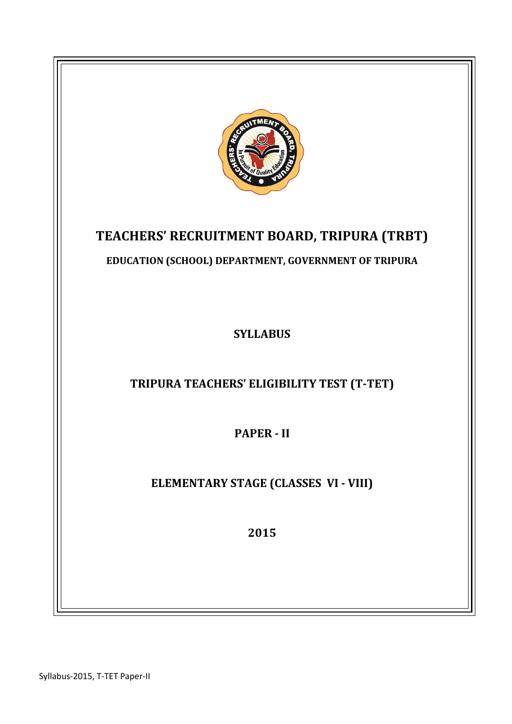

Syllabus-2015, T-TET Paper-II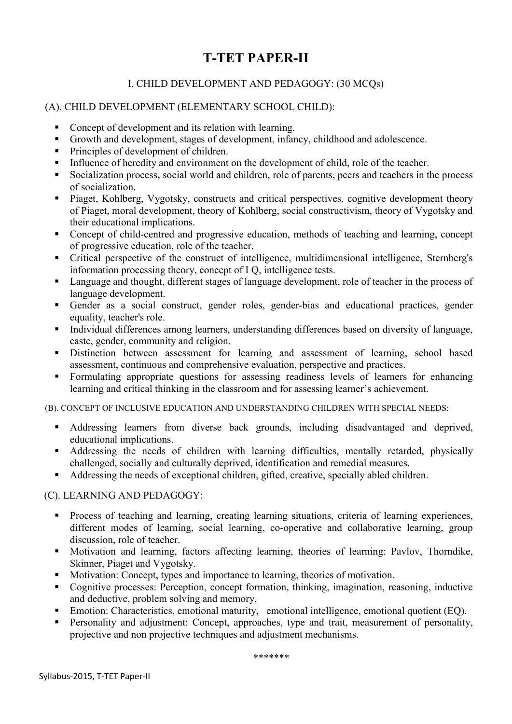# I. CHILD DEVELOPMENT AND PEDAGOGY: (30 MCQs)

## (A). CHILD DEVELOPMENT (ELEMENTARY SCHOOL CHILD):

- Concept of development and its relation with learning.
- Growth and development, stages of development, infancy, childhood and adolescence.
- Principles of development of children.
- Influence of heredity and environment on the development of child, role of the teacher.
- Socialization process, social world and children, role of parents, peers and teachers in the process of socialization.
- **Piaget, Kohlberg, Vygotsky, constructs and critical perspectives, cognitive development theory** of Piaget, moral development, theory of Kohlberg, social constructivism, theory of Vygotsky and their educational implications.
- Concept of child-centred and progressive education, methods of teaching and learning, concept of progressive education, role of the teacher.
- Critical perspective of the construct of intelligence, multidimensional intelligence, Sternberg's information processing theory, concept of I Q, intelligence tests.
- Language and thought, different stages of language development, role of teacher in the process of language development.
- Gender as a social construct, gender roles, gender-bias and educational practices, gender equality, teacher's role.
- Individual differences among learners, understanding differences based on diversity of language, caste, gender, community and religion.
- Distinction between assessment for learning and assessment of learning, school based assessment, continuous and comprehensive evaluation, perspective and practices.
- Formulating appropriate questions for assessing readiness levels of learners for enhancing learning and critical thinking in the classroom and for assessing learner's achievement.

(B). CONCEPT OF INCLUSIVE EDUCATION AND UNDERSTANDING CHILDREN WITH SPECIAL NEEDS:

- Addressing learners from diverse back grounds, including disadvantaged and deprived, educational implications.
- Addressing the needs of children with learning difficulties, mentally retarded, physically challenged, socially and culturally deprived, identification and remedial measures.
- Addressing the needs of exceptional children, gifted, creative, specially abled children.

#### (C). LEARNING AND PEDAGOGY:

- **Process of teaching and learning, creating learning situations, criteria of learning experiences,** different modes of learning, social learning, co-operative and collaborative learning, group discussion, role of teacher.
- Motivation and learning, factors affecting learning, theories of learning: Pavlov, Thorndike, Skinner, Piaget and Vygotsky.
- Motivation: Concept, types and importance to learning, theories of motivation.
- Cognitive processes: Perception, concept formation, thinking, imagination, reasoning, inductive and deductive, problem solving and memory,
- Emotion: Characteristics, emotional maturity, emotional intelligence, emotional quotient (EQ).
- **Personality and adjustment:** Concept, approaches, type and trait, measurement of personality, projective and non projective techniques and adjustment mechanisms.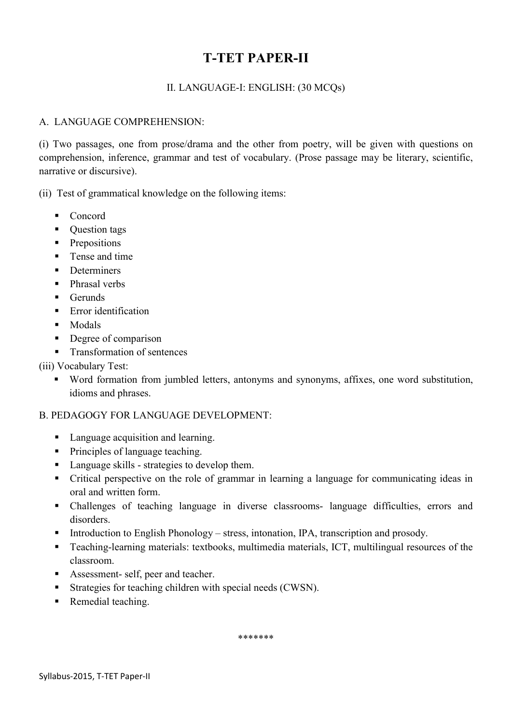# II. LANGUAGE-I: ENGLISH: (30 MCQs)

# A. LANGUAGE COMPREHENSION:

(i) Two passages, one from prose/drama and the other from poetry, will be given with questions on comprehension, inference, grammar and test of vocabulary. (Prose passage may be literary, scientific, narrative or discursive).

(ii) Test of grammatical knowledge on the following items:

- Concord
- Question tags
- Prepositions
- **Tense and time**
- Determiners
- Phrasal verbs
- $\blacksquare$  Gerunds
- **E**rror identification
- **Modals**
- Degree of comparison
- **Transformation of sentences**

# (iii) Vocabulary Test:

 Word formation from jumbled letters, antonyms and synonyms, affixes, one word substitution, idioms and phrases.

## B. PEDAGOGY FOR LANGUAGE DEVELOPMENT:

- Language acquisition and learning.
- Principles of language teaching.
- Language skills strategies to develop them.
- Critical perspective on the role of grammar in learning a language for communicating ideas in oral and written form.
- Challenges of teaching language in diverse classrooms- language difficulties, errors and disorders.
- Introduction to English Phonology stress, intonation, IPA, transcription and prosody.
- Teaching-learning materials: textbooks, multimedia materials, ICT, multilingual resources of the classroom.
- Assessment- self, peer and teacher.
- Strategies for teaching children with special needs (CWSN).
- Remedial teaching.

\*\*\*\*\*\*\*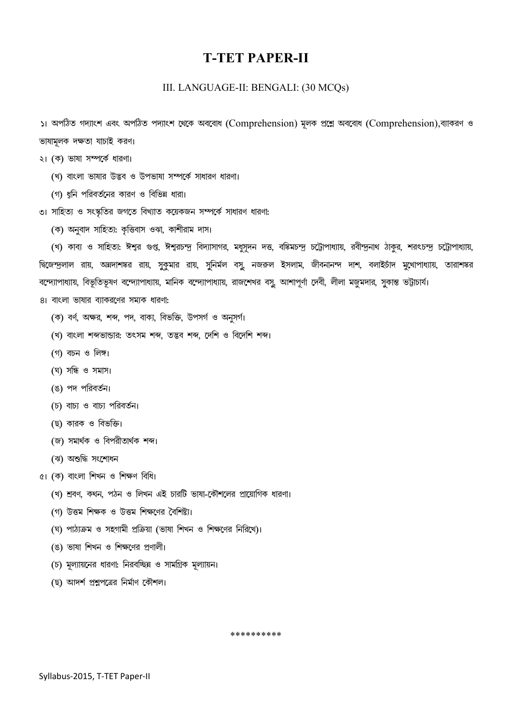#### III. LANGUAGE-II: BENGALI: (30 MCQs)

১। অপঠিত গদ্যাংশ এবং অপঠিত পদ্যাংশ থেকে অববোধ (Comprehension) মূলক প্ৰশ্নে অববোধ (Comprehension),ব্যাকরণ ও ভাষামূলক দক্ষতা যাচাই করণ।

- ২। (ক) ভাষা সম্পর্কে ধারণা।
	- (খ) বাংলা ভাষার উদ্ভব ও উপভাষা সম্পর্কে সাধারণ ধারণা।
	- (গ) ধুনি পরিবর্তনের কারণ ও বিভিন্ন ধারা।
- ৩। সাহিত্য ও সংস্কৃতির জগতে বিখ্যাত কয়েকজন সম্পর্কে সাধারণ ধারণা:
	- (ক) অনুবাদ সাহিত্য: কৃত্তিবাস ওঝা, কাশীরাম দাস।

(খ) কাব্য ও সাহিত্য: ঈশ্বর গুপ্ত, ঈশ্বরচন্দ্র বিদ্যাসাগর, মধুসূদন দত্ত, বঙ্কিমচন্দ্র চট্টোপাধ্যায়, রবীন্দ্রনাথ ঠাকুর, শরৎচন্দ্র চট্টোপাধ্যায়, দ্বিজেন্দ্রলাল রায়, অন্নদাশঙ্কর রায়, সুকুমার রায়, সুনির্মল বসু, নজরুল ইসলাম, জীবনানন্দ দাশ, বলাইচাঁদ মুখোপাধ্যায়, তারাশঙ্কর বন্দ্যোপাধ্যায়, বিভূতিভূষণ বন্দ্যোপাধ্যায়, মানিক বন্দ্যোপাধ্যায়, রাজশেখর বসু, আশাপূর্ণা দেবী, লীলা মজুমদার, সুকান্ত ভট্টাচার্য।

- 8। বাংলা ভাষার ব্যাকরণের সম্যক ধারণা:
	- (ক) বৰ্ণ, অক্ষর, শব্দ, পদ, বাক্য, বিভক্তি, উপসৰ্গ ও অনুসৰ্গ।
	- (খ) বাংলা শব্দভান্ডার: তৎসম শব্দ, তদ্ভব শব্দ, দেশি ও বিদেশি শব্দ।
	- (গ) বচন ও লিঙ্গ।
	- (ঘ) সন্ধি ও সমাস।
	- (ঙ) পদ পরিবর্তন।
	- (চ) বাচ্য ও বাচ্য পরিবর্তন।
	- (ছ) কারক ও বিভক্তি।
	- (জ) সমাৰ্থক ও বিপরীতার্থক শব্দ।
	- (ঝ) অশুদ্ধি সংশোধন
- $\alpha$ । (ক) বাংলা শিখন ও শিক্ষণ বিধি।
	- (খ) শ্ৰবণ, কথন, পঠন ও লিখন এই চারটি ভাষা-কৌশলের প্রায়োগিক ধারণা।
	- (গ) উত্তম শিক্ষক ও উত্তম শিক্ষণের বৈশিষ্ট্য।
	- (ঘ) পাঠ্যক্ৰম ও সহগামী প্ৰক্ৰিয়া (ভাষা শিখন ও শিক্ষণের নিরিখে)।
	- (ঙ) ভাষা শিখন ও শিক্ষণের প্রণালী।
	- (চ) মূল্যায়নের ধারণা: নিরবচ্ছিন্ন ও সামগ্রিক মূল্যায়ন।
	- (ছ) আদৰ্শ প্ৰশ্নপত্ৰের নিৰ্মাণ কৌশল।

\*\*\*\*\*\*\*\*\*\*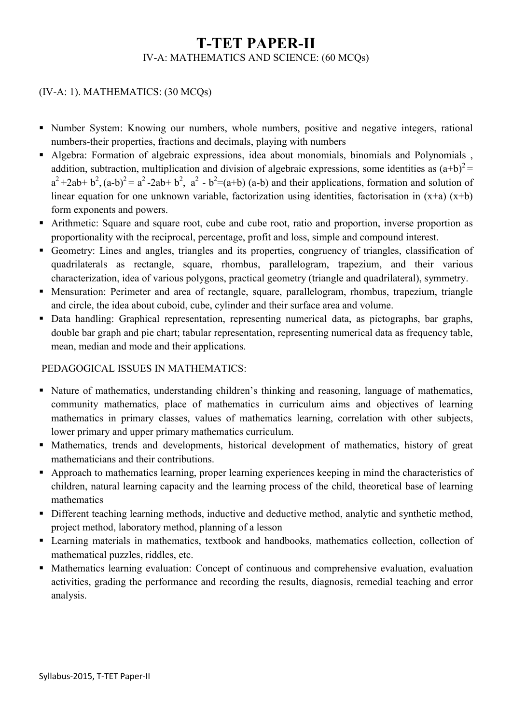# T-TET PAPER-II IV-A: MATHEMATICS AND SCIENCE: (60 MCQs)

# (IV-A: 1). MATHEMATICS: (30 MCQs)

- Number System: Knowing our numbers, whole numbers, positive and negative integers, rational numbers-their properties, fractions and decimals, playing with numbers
- Algebra: Formation of algebraic expressions, idea about monomials, binomials and Polynomials , addition, subtraction, multiplication and division of algebraic expressions, some identities as  $(a+b)^2$  $a^2+2ab+b^2$ ,  $(a-b)^2 = a^2-2ab+b^2$ ,  $a^2 - b^2 = (a+b)(a-b)$  and their applications, formation and solution of linear equation for one unknown variable, factorization using identities, factorisation in  $(x+a)$   $(x+b)$ form exponents and powers.
- Arithmetic: Square and square root, cube and cube root, ratio and proportion, inverse proportion as proportionality with the reciprocal, percentage, profit and loss, simple and compound interest.
- Geometry: Lines and angles, triangles and its properties, congruency of triangles, classification of quadrilaterals as rectangle, square, rhombus, parallelogram, trapezium, and their various characterization, idea of various polygons, practical geometry (triangle and quadrilateral), symmetry.
- Mensuration: Perimeter and area of rectangle, square, parallelogram, rhombus, trapezium, triangle and circle, the idea about cuboid, cube, cylinder and their surface area and volume.
- Data handling: Graphical representation, representing numerical data, as pictographs, bar graphs, double bar graph and pie chart; tabular representation, representing numerical data as frequency table, mean, median and mode and their applications.

## PEDAGOGICAL ISSUES IN MATHEMATICS:

- Nature of mathematics, understanding children's thinking and reasoning, language of mathematics, community mathematics, place of mathematics in curriculum aims and objectives of learning mathematics in primary classes, values of mathematics learning, correlation with other subjects, lower primary and upper primary mathematics curriculum.
- Mathematics, trends and developments, historical development of mathematics, history of great mathematicians and their contributions.
- Approach to mathematics learning, proper learning experiences keeping in mind the characteristics of children, natural learning capacity and the learning process of the child, theoretical base of learning mathematics
- Different teaching learning methods, inductive and deductive method, analytic and synthetic method, project method, laboratory method, planning of a lesson
- Learning materials in mathematics, textbook and handbooks, mathematics collection, collection of mathematical puzzles, riddles, etc.
- Mathematics learning evaluation: Concept of continuous and comprehensive evaluation, evaluation activities, grading the performance and recording the results, diagnosis, remedial teaching and error analysis.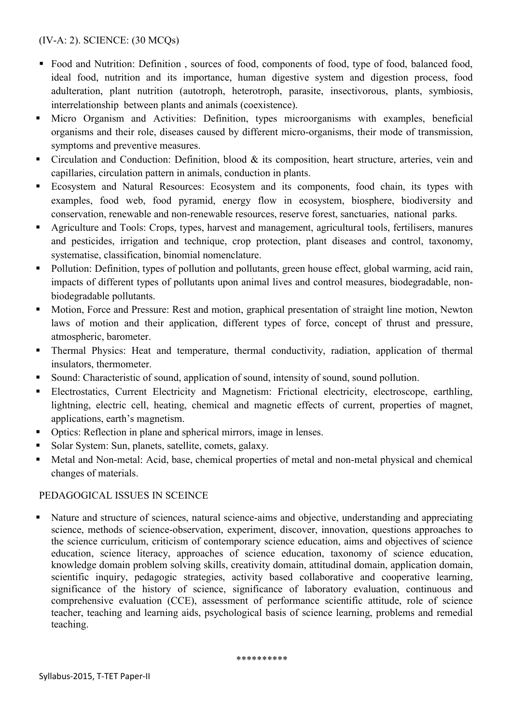# (IV-A: 2). SCIENCE: (30 MCQs)

- Food and Nutrition: Definition, sources of food, components of food, type of food, balanced food, ideal food, nutrition and its importance, human digestive system and digestion process, food adulteration, plant nutrition (autotroph, heterotroph, parasite, insectivorous, plants, symbiosis, interrelationship between plants and animals (coexistence).
- Micro Organism and Activities: Definition, types microorganisms with examples, beneficial organisms and their role, diseases caused by different micro-organisms, their mode of transmission, symptoms and preventive measures.
- Circulation and Conduction: Definition, blood  $\&$  its composition, heart structure, arteries, vein and capillaries, circulation pattern in animals, conduction in plants.
- Ecosystem and Natural Resources: Ecosystem and its components, food chain, its types with examples, food web, food pyramid, energy flow in ecosystem, biosphere, biodiversity and conservation, renewable and non-renewable resources, reserve forest, sanctuaries, national parks.
- Agriculture and Tools: Crops, types, harvest and management, agricultural tools, fertilisers, manures and pesticides, irrigation and technique, crop protection, plant diseases and control, taxonomy, systematise, classification, binomial nomenclature.
- Pollution: Definition, types of pollution and pollutants, green house effect, global warming, acid rain, impacts of different types of pollutants upon animal lives and control measures, biodegradable, nonbiodegradable pollutants.
- Motion, Force and Pressure: Rest and motion, graphical presentation of straight line motion, Newton laws of motion and their application, different types of force, concept of thrust and pressure, atmospheric, barometer.
- Thermal Physics: Heat and temperature, thermal conductivity, radiation, application of thermal insulators, thermometer.
- Sound: Characteristic of sound, application of sound, intensity of sound, sound pollution.
- Electrostatics, Current Electricity and Magnetism: Frictional electricity, electroscope, earthling, lightning, electric cell, heating, chemical and magnetic effects of current, properties of magnet, applications, earth's magnetism.
- Optics: Reflection in plane and spherical mirrors, image in lenses.
- Solar System: Sun, planets, satellite, comets, galaxy.
- Metal and Non-metal: Acid, base, chemical properties of metal and non-metal physical and chemical changes of materials.

## PEDAGOGICAL ISSUES IN SCEINCE

• Nature and structure of sciences, natural science-aims and objective, understanding and appreciating science, methods of science-observation, experiment, discover, innovation, questions approaches to the science curriculum, criticism of contemporary science education, aims and objectives of science education, science literacy, approaches of science education, taxonomy of science education, knowledge domain problem solving skills, creativity domain, attitudinal domain, application domain, scientific inquiry, pedagogic strategies, activity based collaborative and cooperative learning, significance of the history of science, significance of laboratory evaluation, continuous and comprehensive evaluation (CCE), assessment of performance scientific attitude, role of science teacher, teaching and learning aids, psychological basis of science learning, problems and remedial teaching.

\*\*\*\*\*\*\*\*\*\*